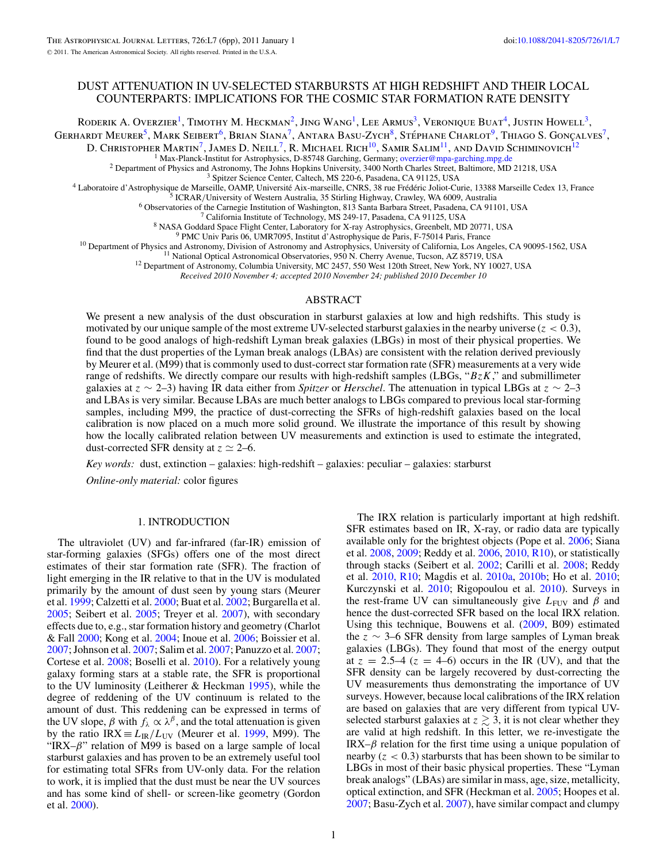# DUST ATTENUATION IN UV-SELECTED STARBURSTS AT HIGH REDSHIFT AND THEIR LOCAL COUNTERPARTS: IMPLICATIONS FOR THE COSMIC STAR FORMATION RATE DENSITY

RODERIK A. OVERZIER<sup>1</sup>, TIMOTHY M. HECKMAN<sup>2</sup>, JING WANG<sup>1</sup>, LEE ARMUS<sup>3</sup>, VERONIQUE BUAT<sup>4</sup>, JUSTIN HOWELL<sup>3</sup>,

GERHARDT MEURER<sup>5</sup>, MARK SEIBERT<sup>6</sup>, BRIAN SIANA<sup>7</sup>, ANTARA BASU-ZYCH<sup>8</sup>, STÉPHANE CHARLOT<sup>9</sup>, THIAGO S. GONÇALVES<sup>7</sup>,

D. Christopher Martin<sup>7</sup>, James D. Neill<sup>7</sup>, R. Michael Rich<sup>10</sup>, Samir Salim<sup>11</sup>, and David Schiminovich<sup>12</sup>

<sup>1</sup> Max-Planck-Institut for Astrophysics, D-85748 Garching, Germany; overzier@mpa-garching,mpg.de<br>
<sup>2</sup> Department of Physics and Astronomy, The Johns Hopkins University, 3400 North Charles Street, Baltimore, MD 21218, USA

*Received 2010 November 4; accepted 2010 November 24; published 2010 December 10*

#### ABSTRACT

We present a new analysis of the dust obscuration in starburst galaxies at low and high redshifts. This study is motivated by our unique sample of the most extreme UV-selected starburst galaxies in the nearby universe (*z <* 0*.*3), found to be good analogs of high-redshift Lyman break galaxies (LBGs) in most of their physical properties. We find that the dust properties of the Lyman break analogs (LBAs) are consistent with the relation derived previously by Meurer et al. (M99) that is commonly used to dust-correct star formation rate (SFR) measurements at a very wide range of redshifts. We directly compare our results with high-redshift samples (LBGs, "*BzK*," and submillimeter galaxies at *z* ∼ 2–3) having IR data either from *Spitzer* or *Herschel*. The attenuation in typical LBGs at *z* ∼ 2–3 and LBAs is very similar. Because LBAs are much better analogs to LBGs compared to previous local star-forming samples, including M99, the practice of dust-correcting the SFRs of high-redshift galaxies based on the local calibration is now placed on a much more solid ground. We illustrate the importance of this result by showing how the locally calibrated relation between UV measurements and extinction is used to estimate the integrated, dust-corrected SFR density at  $z \approx 2{\text -}6$ .

*Key words:* dust, extinction – galaxies: high-redshift – galaxies: peculiar – galaxies: starburst

*Online-only material:* color figures

### 1. INTRODUCTION

The ultraviolet (UV) and far-infrared (far-IR) emission of star-forming galaxies (SFGs) offers one of the most direct estimates of their star formation rate (SFR). The fraction of light emerging in the IR relative to that in the UV is modulated primarily by the amount of dust seen by young stars (Meurer et al. [1999;](#page-5-0) Calzetti et al. [2000;](#page-4-0) Buat et al. [2002;](#page-4-0) Burgarella et al. [2005;](#page-4-0) Seibert et al. [2005;](#page-5-0) Treyer et al. [2007\)](#page-5-0), with secondary effects due to, e.g., star formation history and geometry (Charlot & Fall [2000;](#page-4-0) Kong et al. [2004;](#page-5-0) Inoue et al. [2006;](#page-5-0) Boissier et al. [2007;](#page-4-0) Johnson et al. [2007;](#page-5-0) Salim et al. [2007;](#page-5-0) Panuzzo et al. [2007;](#page-5-0) Cortese et al. [2008;](#page-4-0) Boselli et al. [2010\)](#page-4-0). For a relatively young galaxy forming stars at a stable rate, the SFR is proportional to the UV luminosity (Leitherer & Heckman [1995\)](#page-5-0), while the degree of reddening of the UV continuum is related to the amount of dust. This reddening can be expressed in terms of the UV slope,  $\beta$  with  $f_\lambda \propto \lambda^\beta$ , and the total attenuation is given by the ratio IRX  $\equiv L_{IR}/L_{UV}$  (Meurer et al. [1999,](#page-5-0) M99). The "IRX–*β*" relation of M99 is based on a large sample of local starburst galaxies and has proven to be an extremely useful tool for estimating total SFRs from UV-only data. For the relation to work, it is implied that the dust must be near the UV sources and has some kind of shell- or screen-like geometry (Gordon et al. [2000\)](#page-5-0).

The IRX relation is particularly important at high redshift. SFR estimates based on IR, X-ray, or radio data are typically available only for the brightest objects (Pope et al. [2006;](#page-5-0) Siana et al. [2008,](#page-5-0) [2009;](#page-5-0) Reddy et al. [2006,](#page-5-0) [2010, R10\)](#page-5-0), or statistically through stacks (Seibert et al. [2002;](#page-5-0) Carilli et al. [2008;](#page-4-0) Reddy et al. [2010, R10;](#page-5-0) Magdis et al. [2010a,](#page-5-0) [2010b;](#page-5-0) Ho et al. [2010;](#page-5-0) Kurczynski et al. [2010;](#page-5-0) Rigopoulou et al. [2010\)](#page-5-0). Surveys in the rest-frame UV can simultaneously give  $L_{\text{FUV}}$  and  $\beta$  and hence the dust-corrected SFR based on the local IRX relation. Using this technique, Bouwens et al. [\(2009,](#page-4-0) B09) estimated the  $z \sim 3-6$  SFR density from large samples of Lyman break galaxies (LBGs). They found that most of the energy output at  $z = 2.5-4$  ( $z = 4-6$ ) occurs in the IR (UV), and that the SFR density can be largely recovered by dust-correcting the UV measurements thus demonstrating the importance of UV surveys. However, because local calibrations of the IRX relation are based on galaxies that are very different from typical UVselected starburst galaxies at  $z \gtrsim 3$ , it is not clear whether they are valid at high redshift. In this letter, we re-investigate the IRX– $\beta$  relation for the first time using a unique population of nearby  $(z < 0.3)$  starbursts that has been shown to be similar to LBGs in most of their basic physical properties. These "Lyman break analogs" (LBAs) are similar in mass, age, size, metallicity, optical extinction, and SFR (Heckman et al. [2005;](#page-5-0) Hoopes et al. [2007;](#page-5-0) Basu-Zych et al. [2007\)](#page-4-0), have similar compact and clumpy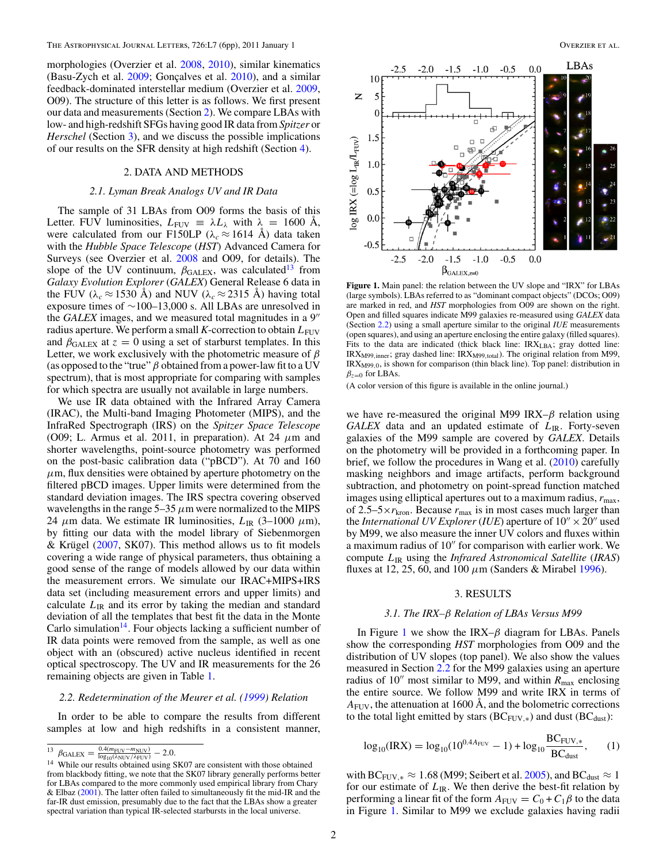<span id="page-1-0"></span>morphologies (Overzier et al. [2008,](#page-5-0) [2010\)](#page-5-0), similar kinematics (Basu-Zych et al.  $2009$ ; Gonçalves et al.  $2010$ ), and a similar feedback-dominated interstellar medium (Overzier et al. [2009,](#page-5-0) O09). The structure of this letter is as follows. We first present our data and measurements (Section 2). We compare LBAs with low- and high-redshift SFGs having good IR data from *Spitzer* or *Herschel* (Section 3), and we discuss the possible implications of our results on the SFR density at high redshift (Section [4\)](#page-4-0).

# 2. DATA AND METHODS

## *2.1. Lyman Break Analogs UV and IR Data*

The sample of 31 LBAs from O09 forms the basis of this Letter. FUV luminosities,  $L_{\text{FUV}} \equiv \lambda L_{\lambda}$  with  $\lambda = 1600$  Å, were calculated from our F150LP ( $\lambda_c \approx 1614$  Å) data taken with the *Hubble Space Telescope* (*HST*) Advanced Camera for Surveys (see Overzier et al. [2008](#page-5-0) and O09, for details). The slope of the UV continuum,  $\beta_{\text{GALEX}}$ , was calculated<sup>13</sup> from *Galaxy Evolution Explorer* (*GALEX*) General Release 6 data in the FUV ( $\lambda_c \approx 1530$  Å) and NUV ( $\lambda_c \approx 2315$  Å) having total exposure times of ∼100–13,000 s. All LBAs are unresolved in the *GALEX* images, and we measured total magnitudes in a 9 radius aperture. We perform a small  $K$ -correction to obtain  $L_{\text{FUV}}$ and  $\beta_{\text{GALEX}}$  at  $z = 0$  using a set of starburst templates. In this Letter, we work exclusively with the photometric measure of *β* (as opposed to the "true"  $\beta$  obtained from a power-law fit to a UV spectrum), that is most appropriate for comparing with samples for which spectra are usually not available in large numbers.

We use IR data obtained with the Infrared Array Camera (IRAC), the Multi-band Imaging Photometer (MIPS), and the InfraRed Spectrograph (IRS) on the *Spitzer Space Telescope* (O09; L. Armus et al. 2011, in preparation). At 24  $\mu$ m and shorter wavelengths, point-source photometry was performed on the post-basic calibration data ("pBCD"). At 70 and 160  $\mu$ m, flux densities were obtained by aperture photometry on the filtered pBCD images. Upper limits were determined from the standard deviation images. The IRS spectra covering observed wavelengths in the range  $5-35 \mu m$  were normalized to the MIPS 24  $\mu$ m data. We estimate IR luminosities,  $L_{IR}$  (3–1000  $\mu$ m), by fitting our data with the model library of Siebenmorgen & Krügel ( $2007$ , SK07). This method allows us to fit models covering a wide range of physical parameters, thus obtaining a good sense of the range of models allowed by our data within the measurement errors. We simulate our IRAC+MIPS+IRS data set (including measurement errors and upper limits) and calculate  $L_{\text{IR}}$  and its error by taking the median and standard deviation of all the templates that best fit the data in the Monte Carlo simulation<sup>14</sup>. Four objects lacking a sufficient number of IR data points were removed from the sample, as well as one object with an (obscured) active nucleus identified in recent optical spectroscopy. The UV and IR measurements for the 26 remaining objects are given in Table [1.](#page-2-0)

#### *2.2. Redetermination of the Meurer et al. [\(1999\)](#page-5-0) Relation*

In order to be able to compare the results from different samples at low and high redshifts in a consistent manner,



**Figure 1.** Main panel: the relation between the UV slope and "IRX" for LBAs (large symbols). LBAs referred to as "dominant compact objects" (DCOs; O09) are marked in red, and *HST* morphologies from O09 are shown on the right. Open and filled squares indicate M99 galaxies re-measured using *GALEX* data (Section 2.2) using a small aperture similar to the original *IUE* measurements (open squares), and using an aperture enclosing the entire galaxy (filled squares). Fits to the data are indicated (thick black line:  $IRX<sub>LBA</sub>$ ; gray dotted line: IRX<sub>M99</sub>,<sub>inner</sub>; gray dashed line: IRX<sub>M99,total</sub>). The original relation from M99, IRXM99*,*0, is shown for comparison (thin black line). Top panel: distribution in  $\beta_{z=0}$  for LBAs.

(A color version of this figure is available in the online journal.)

we have re-measured the original M99 IRX–*β* relation using *GALEX* data and an updated estimate of *L*IR. Forty-seven galaxies of the M99 sample are covered by *GALEX*. Details on the photometry will be provided in a forthcoming paper. In brief, we follow the procedures in Wang et al. [\(2010\)](#page-5-0) carefully masking neighbors and image artifacts, perform background subtraction, and photometry on point-spread function matched images using elliptical apertures out to a maximum radius,  $r_{\text{max}}$ , of 2.5–5 $\times r_{\text{kron}}$ . Because  $r_{\text{max}}$  is in most cases much larger than the *International UV Explorer* (*IUE*) aperture of  $10'' \times 20''$  used by M99, we also measure the inner UV colors and fluxes within a maximum radius of 10" for comparison with earlier work. We compute *L*IR using the *Infrared Astronomical Satellite* (*IRAS*) fluxes at 12, 25, 60, and 100 *μ*m (Sanders & Mirabel [1996\)](#page-5-0).

## 3. RESULTS

#### *3.1. The IRX–β Relation of LBAs Versus M99*

In Figure 1 we show the IRX–*β* diagram for LBAs. Panels show the corresponding *HST* morphologies from O09 and the distribution of UV slopes (top panel). We also show the values measured in Section 2.2 for the M99 galaxies using an aperture radius of 10<sup>"</sup> most similar to M99, and within  $R_{\text{max}}$  enclosing the entire source. We follow M99 and write IRX in terms of  $A_{\text{FUV}}$ , the attenuation at 1600 Å, and the bolometric corrections to the total light emitted by stars ( $BC_{FUV,*}$ ) and dust ( $BC_{dust}$ ):

$$
\log_{10}(\text{IRX}) = \log_{10}(10^{0.4A_{\text{FUV}}} - 1) + \log_{10}\frac{\text{BC}_{\text{FUV,*}}}{\text{BC}_{\text{dust}}},\tag{1}
$$

with BC<sub>FUV,\*</sub>  $\approx 1.68$  (M99; Seibert et al. [2005\)](#page-5-0), and BC<sub>dust</sub>  $\approx 1$ for our estimate of  $L_{\text{IR}}$ . We then derive the best-fit relation by performing a linear fit of the form  $A_{\text{FUV}} = C_0 + C_1 \beta$  to the data in Figure 1. Similar to M99 we exclude galaxies having radii

 $^{13}$   $\beta_{\text{GALEX}} = \frac{0.4(m_{\text{FUV}} - m_{\text{NUV}})}{\log_{10}(\lambda_{\text{NUV}}/\lambda_{\text{FUV}})} - 2.0.$ 

<sup>&</sup>lt;sup>14</sup> While our results obtained using SK07 are consistent with those obtained from blackbody fitting, we note that the SK07 library generally performs better for LBAs compared to the more commonly used empirical library from Chary & Elbaz [\(2001\)](#page-4-0). The latter often failed to simultaneously fit the mid-IR and the far-IR dust emission, presumably due to the fact that the LBAs show a greater spectral variation than typical IR-selected starbursts in the local universe.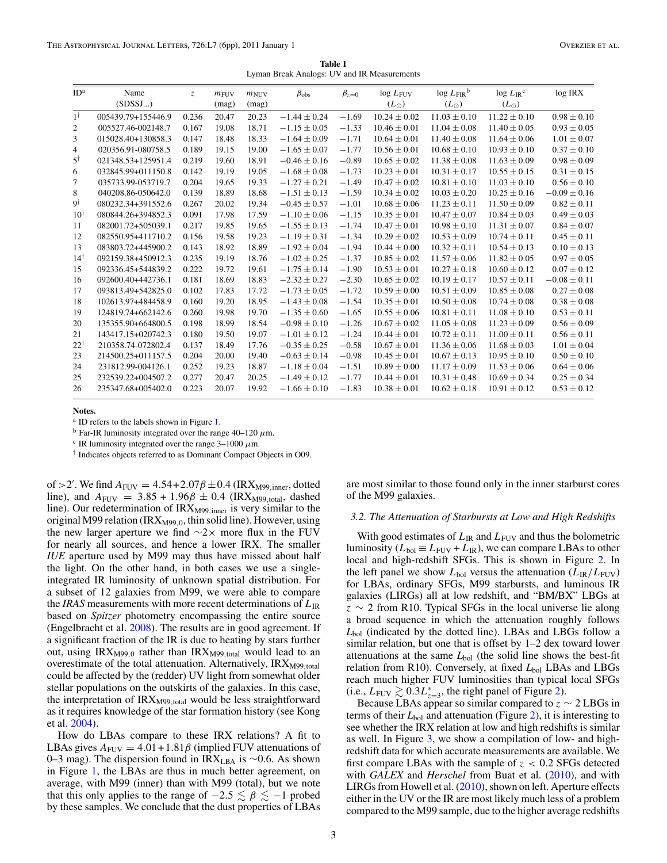**Table 1** Lyman Break Analogs: UV and IR Measurements

<span id="page-2-0"></span>

| ID <sup>a</sup> | Name               | Z.    | $m_{\text{FUV}}$ | $m_{\text{NUV}}$ | $\beta_{\rm obs}$ | $\beta_{z=0}$ | $log L_{FUV}$    | $\log L_{\rm FIR}^{\rm b}$ | $\log L_{\rm IR}$ <sup>c</sup> | log IRX          |
|-----------------|--------------------|-------|------------------|------------------|-------------------|---------------|------------------|----------------------------|--------------------------------|------------------|
|                 | (SDSSJ)            |       | (mag)            | (mag)            |                   |               | $(L_{\odot})$    | $(L_{\odot})$              | $(L_{\odot})$                  |                  |
| $1^{\dagger}$   | 005439.79+155446.9 | 0.236 | 20.47            | 20.23            | $-1.44 \pm 0.24$  | $-1.69$       | $10.24 \pm 0.02$ | $11.03 \pm 0.10$           | $11.22 \pm 0.10$               | $0.98 \pm 0.10$  |
| 2               | 005527.46-002148.7 | 0.167 | 19.08            | 18.71            | $-1.15 \pm 0.05$  | $-1.33$       | $10.46 \pm 0.01$ | $11.04 \pm 0.08$           | $11.40 \pm 0.05$               | $0.93 \pm 0.05$  |
| 3               | 015028.40+130858.3 | 0.147 | 18.48            | 18.33            | $-1.64 \pm 0.09$  | $-1.71$       | $10.64 \pm 0.01$ | $11.40 \pm 0.08$           | $11.64 \pm 0.06$               | $1.01 \pm 0.07$  |
| 4               | 020356.91-080758.5 | 0.189 | 19.15            | 19.00            | $-1.65 \pm 0.07$  | $-1.77$       | $10.56 \pm 0.01$ | $10.68 \pm 0.10$           | $10.93 \pm 0.10$               | $0.37 \pm 0.10$  |
| $5^{\dagger}$   | 021348.53+125951.4 | 0.219 | 19.60            | 18.91            | $-0.46 \pm 0.16$  | $-0.89$       | $10.65 \pm 0.02$ | $11.38 \pm 0.08$           | $11.63 \pm 0.09$               | $0.98 \pm 0.09$  |
| 6               | 032845.99+011150.8 | 0.142 | 19.19            | 19.05            | $-1.68 \pm 0.08$  | $-1.73$       | $10.23 \pm 0.01$ | $10.31 \pm 0.17$           | $10.55 \pm 0.15$               | $0.31 \pm 0.15$  |
| 7               | 035733.99-053719.7 | 0.204 | 19.65            | 19.33            | $-1.27 \pm 0.21$  | $-1.49$       | $10.47 \pm 0.02$ | $10.81 \pm 0.10$           | $11.03 \pm 0.10$               | $0.56 \pm 0.10$  |
| 8               | 040208.86-050642.0 | 0.139 | 18.89            | 18.68            | $-1.51 \pm 0.13$  | $-1.59$       | $10.34 \pm 0.02$ | $10.03 \pm 0.20$           | $10.25 \pm 0.16$               | $-0.09 \pm 0.16$ |
| 9†              | 080232.34+391552.6 | 0.267 | 20.02            | 19.34            | $-0.45 \pm 0.57$  | $-1.01$       | $10.68 \pm 0.06$ | $11.23 \pm 0.11$           | $11.50 \pm 0.09$               | $0.82 \pm 0.11$  |
| $10^{\dagger}$  | 080844.26+394852.3 | 0.091 | 17.98            | 17.59            | $-1.10 \pm 0.06$  | $-1.15$       | $10.35 \pm 0.01$ | $10.47 \pm 0.07$           | $10.84 \pm 0.03$               | $0.49 \pm 0.03$  |
| 11              | 082001.72+505039.1 | 0.217 | 19.85            | 19.65            | $-1.55 \pm 0.13$  | $-1.74$       | $10.47 \pm 0.01$ | $10.98 \pm 0.10$           | $11.31 \pm 0.07$               | $0.84 \pm 0.07$  |
| 12              | 082550.95+411710.2 | 0.156 | 19.58            | 19.23            | $-1.19 \pm 0.31$  | $-1.34$       | $10.29 \pm 0.02$ | $10.53 \pm 0.09$           | $10.74 \pm 0.11$               | $0.45 \pm 0.11$  |
| 13              | 083803.72+445900.2 | 0.143 | 18.92            | 18.89            | $-1.92 \pm 0.04$  | $-1.94$       | $10.44 \pm 0.00$ | $10.32 \pm 0.11$           | $10.54 \pm 0.13$               | $0.10 \pm 0.13$  |
| $14^{\dagger}$  | 092159.38+450912.3 | 0.235 | 19.19            | 18.76            | $-1.02 \pm 0.25$  | $-1.37$       | $10.85 \pm 0.02$ | $11.57 \pm 0.06$           | $11.82 \pm 0.05$               | $0.97 \pm 0.05$  |
| 15              | 092336.45+544839.2 | 0.222 | 19.72            | 19.61            | $-1.75 \pm 0.14$  | $-1.90$       | $10.53 \pm 0.01$ | $10.27 \pm 0.18$           | $10.60 \pm 0.12$               | $0.07 \pm 0.12$  |
| 16              | 092600.40+442736.1 | 0.181 | 18.69            | 18.83            | $-2.32 \pm 0.27$  | $-2.30$       | $10.65 \pm 0.02$ | $10.19 \pm 0.17$           | $10.57 \pm 0.11$               | $-0.08 \pm 0.11$ |
| 17              | 093813.49+542825.0 | 0.102 | 17.83            | 17.72            | $-1.73 \pm 0.05$  | $-1.72$       | $10.59 \pm 0.00$ | $10.51 \pm 0.09$           | $10.85 \pm 0.08$               | $0.27 \pm 0.08$  |
| 18              | 102613.97+484458.9 | 0.160 | 19.20            | 18.95            | $-1.43 \pm 0.08$  | $-1.54$       | $10.35 \pm 0.01$ | $10.50 \pm 0.08$           | $10.74 \pm 0.08$               | $0.38 \pm 0.08$  |
| 19              | 124819.74+662142.6 | 0.260 | 19.98            | 19.70            | $-1.35 \pm 0.60$  | $-1.65$       | $10.55 \pm 0.06$ | $10.81 \pm 0.11$           | $11.08 \pm 0.10$               | $0.53 \pm 0.11$  |
| 20              | 135355.90+664800.5 | 0.198 | 18.99            | 18.54            | $-0.98 \pm 0.10$  | $-1.26$       | $10.67 \pm 0.02$ | $11.05 \pm 0.08$           | $11.23 \pm 0.09$               | $0.56 \pm 0.09$  |
| 21              | 143417.15+020742.3 | 0.180 | 19.50            | 19.07            | $-1.01 \pm 0.12$  | $-1.24$       | $10.44 \pm 0.01$ | $10.72 \pm 0.11$           | $11.00 \pm 0.11$               | $0.56 \pm 0.11$  |
| $22^{\dagger}$  | 210358.74-072802.4 | 0.137 | 18.49            | 17.76            | $-0.35 \pm 0.25$  | $-0.58$       | $10.67 \pm 0.01$ | $11.36 \pm 0.06$           | $11.68 \pm 0.03$               | $1.01 \pm 0.04$  |
| 23              | 214500.25+011157.5 | 0.204 | 20.00            | 19.40            | $-0.63 \pm 0.14$  | $-0.98$       | $10.45 \pm 0.01$ | $10.67 \pm 0.13$           | $10.95 \pm 0.10$               | $0.50 \pm 0.10$  |
| 24              | 231812.99-004126.1 | 0.252 | 19.23            | 18.87            | $-1.18 \pm 0.04$  | $-1.51$       | $10.89 \pm 0.00$ | $11.17 \pm 0.09$           | $11.53 \pm 0.06$               | $0.64 \pm 0.06$  |
| 25              | 232539.22+004507.2 | 0.277 | 20.47            | 20.25            | $-1.49 \pm 0.12$  | $-1.77$       | $10.44 \pm 0.01$ | $10.31 \pm 0.48$           | $10.69 \pm 0.34$               | $0.25 \pm 0.34$  |
| 26              | 235347.68+005402.0 | 0.223 | 20.07            | 19.92            | $-1.66 \pm 0.10$  | $-1.83$       | $10.38 \pm 0.01$ | $10.62 \pm 0.18$           | $10.91 \pm 0.12$               | $0.53 \pm 0.12$  |

**Notes.**

<sup>a</sup> ID refers to the labels shown in Figure [1.](#page-1-0)

<sup>b</sup> Far-IR luminosity integrated over the range  $40-120 \mu m$ .

<sup>c</sup> IR luminosity integrated over the range  $3-1000 \ \mu m$ .

† Indicates objects referred to as Dominant Compact Objects in O09.

of  $>$  2'. We find  $A_{\text{FUV}} = 4.54 + 2.07 \beta \pm 0.4$  (IRX<sub>M99</sub>*,*<sub>inner</sub>, dotted line), and  $A_{\text{FUV}} = 3.85 + 1.96\beta \pm 0.4$  (IRX<sub>M99,total</sub>, dashed line). Our redetermination of IRX<sub>M99,inner</sub> is very similar to the original M99 relation (IRX<sub>M99,0</sub>, thin solid line). However, using the new larger aperture we find  $\sim$ 2× more flux in the FUV for nearly all sources, and hence a lower IRX. The smaller *IUE* aperture used by M99 may thus have missed about half the light. On the other hand, in both cases we use a singleintegrated IR luminosity of unknown spatial distribution. For a subset of 12 galaxies from M99, we were able to compare the *IRAS* measurements with more recent determinations of  $L_{IR}$ based on *Spitzer* photometry encompassing the entire source (Engelbracht et al. [2008\)](#page-4-0). The results are in good agreement. If a significant fraction of the IR is due to heating by stars further out, using IRX<sub>M99,0</sub> rather than IRX<sub>M99,total</sub> would lead to an overestimate of the total attenuation. Alternatively, IRX<sub>M99,total</sub> could be affected by the (redder) UV light from somewhat older stellar populations on the outskirts of the galaxies. In this case, the interpretation of IRX<sub>M99,total</sub> would be less straightforward as it requires knowledge of the star formation history (see Kong et al. [2004\)](#page-5-0).

How do LBAs compare to these IRX relations? A fit to LBAs gives  $A_{\text{FUV}} = 4.01 + 1.81\beta$  (implied FUV attenuations of 0–3 mag). The dispersion found in IRX<sub>LBA</sub> is ~0.6. As shown in Figure [1,](#page-1-0) the LBAs are thus in much better agreement, on average, with M99 (inner) than with M99 (total), but we note that this only applies to the range of  $-2.5 \le \beta \le -1$  probed by these samples. We conclude that the dust properties of LBAs

are most similar to those found only in the inner starburst cores of the M99 galaxies.

#### *3.2. The Attenuation of Starbursts at Low and High Redshifts*

With good estimates of  $L_{IR}$  and  $L_{FUV}$  and thus the bolometric luminosity ( $L_{bol} \equiv L_{FUV} + L_{IR}$ ), we can compare LBAs to other local and high-redshift SFGs. This is shown in Figure [2.](#page-3-0) In the left panel we show  $L_{bol}$  versus the attenuation ( $L_{IR}/L_{FUV}$ ) for LBAs, ordinary SFGs, M99 starbursts, and luminous IR galaxies (LIRGs) all at low redshift, and "BM/BX" LBGs at *z* ∼ 2 from R10. Typical SFGs in the local universe lie along a broad sequence in which the attenuation roughly follows *L*bol (indicated by the dotted line). LBAs and LBGs follow a similar relation, but one that is offset by 1–2 dex toward lower attenuations at the same  $L_{bol}$  (the solid line shows the best-fit relation from R10). Conversely, at fixed *L*<sub>bol</sub> LBAs and LBGs reach much higher FUV luminosities than typical local SFGs (i.e.,  $L_{\text{FUV}} \gtrsim 0.3L_{z=3}^*$ , the right panel of Figure [2\)](#page-3-0).

Because LBAs appear so similar compared to  $z \sim 2$  LBGs in terms of their  $L_{bol}$  and attenuation (Figure [2\)](#page-3-0), it is interesting to see whether the IRX relation at low and high redshifts is similar as well. In Figure [3,](#page-3-0) we show a compilation of low- and highredshift data for which accurate measurements are available. We first compare LBAs with the sample of  $z < 0.2$  SFGs detected with *GALEX* and *Herschel* from Buat et al. [\(2010\)](#page-4-0), and with LIRGs from Howell et al. [\(2010\)](#page-5-0), shown on left. Aperture effects either in the UV or the IR are most likely much less of a problem compared to the M99 sample, due to the higher average redshifts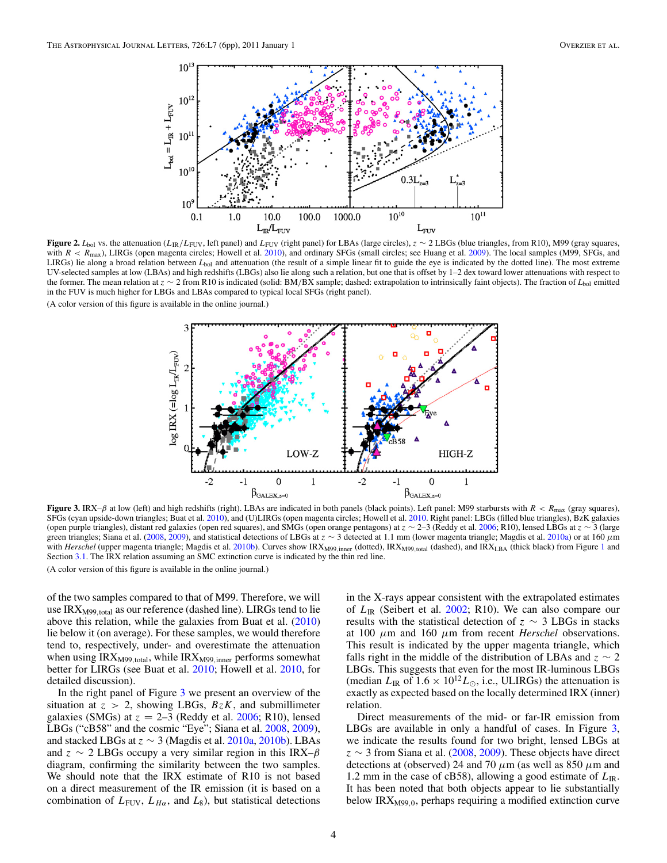<span id="page-3-0"></span>

**Figure 2.**  $L_{\text{bol}}$  vs. the attenuation ( $L_{\text{IR}}/L_{\text{FUV}}$ , left panel) and  $L_{\text{FUV}}$  (right panel) for LBAs (large circles), *z* ∼ 2 LBGs (blue triangles, from R10), M99 (gray squares, with  $R < R_{\text{max}}$ ), LIRGs (open magenta circles; Howell et al. [2010\)](#page-5-0), and ordinary SFGs (small circles; see Huang et al. [2009\)](#page-5-0). The local samples (M99, SFGs, and LIRGs) lie along a broad relation between *L*<sub>bol</sub> and attenuation (the result of a simple linear fit to guide the eye is indicated by the dotted line). The most extreme UV-selected samples at low (LBAs) and high redshifts (LBGs) also lie along such a relation, but one that is offset by 1–2 dex toward lower attenuations with respect to the former. The mean relation at *z* ∼ 2 from R10 is indicated (solid: BM*/*BX sample; dashed: extrapolation to intrinsically faint objects). The fraction of *L*bol emitted in the FUV is much higher for LBGs and LBAs compared to typical local SFGs (right panel).

(A color version of this figure is available in the online journal.)



**Figure 3.** IRX– $\beta$  at low (left) and high redshifts (right). LBAs are indicated in both panels (black points). Left panel: M99 starbursts with  $R < R_{\text{max}}$  (gray squares), SFGs (cyan upside-down triangles; Buat et al. [2010\)](#page-4-0), and (U)LIRGs (open magenta circles; Howell et al. [2010.](#page-5-0) Right panel: LBGs (filled blue triangles), BzK galaxies (open purple triangles), distant red galaxies (open red squares), and SMGs (open orange pentagons) at *z* ∼ 2–3 (Reddy et al. [2006;](#page-5-0) R10), lensed LBGs at *z* ∼ 3 (large green triangles; Siana et al. [\(2008,](#page-5-0) [2009\)](#page-5-0), and statistical detections of LBGs at *z* ∼ 3 detected at 1.1 mm (lower magenta triangle; Magdis et al. [2010a\)](#page-5-0) or at 160 *μ*m with *Herschel* (upper magenta triangle; Magdis et al. [2010b\)](#page-5-0). Curves show IRX<sub>M99</sub>,<sub>inner</sub> (dotted), IRX<sub>M99</sub>,<sub>total</sub> (dashed), and IRX<sub>LBA</sub> (thick black) from Figure [1](#page-1-0) and Section [3.1.](#page-1-0) The IRX relation assuming an SMC extinction curve is indicated by the thin red line. (A color version of this figure is available in the online journal.)

of the two samples compared to that of M99. Therefore, we will use IRXM99*,*total as our reference (dashed line). LIRGs tend to lie above this relation, while the galaxies from Buat et al. [\(2010\)](#page-4-0) lie below it (on average). For these samples, we would therefore tend to, respectively, under- and overestimate the attenuation when using IRX<sub>M99,total</sub>, while IRX<sub>M99,inner</sub> performs somewhat better for LIRGs (see Buat et al. [2010;](#page-4-0) Howell et al. [2010,](#page-5-0) for detailed discussion).

In the right panel of Figure 3 we present an overview of the situation at  $z > 2$ , showing LBGs,  $BzK$ , and submillimeter galaxies (SMGs) at  $z = 2-3$  (Reddy et al. [2006;](#page-5-0) R10), lensed LBGs ("cB58" and the cosmic "Eye"; Siana et al. [2008,](#page-5-0) [2009\)](#page-5-0), and stacked LBGs at  $z \sim 3$  (Magdis et al. [2010a,](#page-5-0) [2010b\)](#page-5-0). LBAs and *z* ∼ 2 LBGs occupy a very similar region in this IRX–*β* diagram, confirming the similarity between the two samples. We should note that the IRX estimate of R10 is not based on a direct measurement of the IR emission (it is based on a combination of  $L_{\text{FUV}}$ ,  $L_{H\alpha}$ , and  $L_8$ ), but statistical detections

in the X-rays appear consistent with the extrapolated estimates of *L*IR (Seibert et al. [2002;](#page-5-0) R10). We can also compare our results with the statistical detection of *z* ∼ 3 LBGs in stacks at 100 *μ*m and 160 *μ*m from recent *Herschel* observations. This result is indicated by the upper magenta triangle, which falls right in the middle of the distribution of LBAs and  $z \sim 2$ LBGs. This suggests that even for the most IR-luminous LBGs (median  $L_{\text{IR}}$  of  $1.6 \times 10^{12} L_{\odot}$ , i.e., ULIRGs) the attenuation is exactly as expected based on the locally determined IRX (inner) relation.

Direct measurements of the mid- or far-IR emission from LBGs are available in only a handful of cases. In Figure 3, we indicate the results found for two bright, lensed LBGs at *z* ∼ 3 from Siana et al. [\(2008,](#page-5-0) [2009\)](#page-5-0). These objects have direct detections at (observed) 24 and 70 *μ*m (as well as 850 *μ*m and 1.2 mm in the case of cB58), allowing a good estimate of  $L_{\text{IR}}$ . It has been noted that both objects appear to lie substantially below IRX<sub>M99,0</sub>, perhaps requiring a modified extinction curve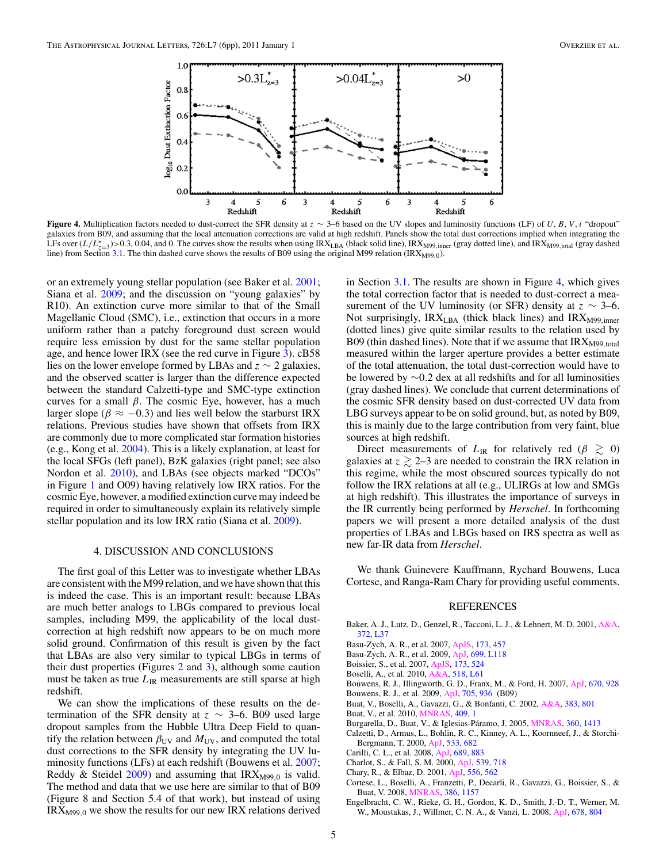<span id="page-4-0"></span>

**Figure 4.** Multiplication factors needed to dust-correct the SFR density at  $z \sim 3-6$  based on the UV slopes and luminosity functions (LF) of *U, B, V,i* "dropout" galaxies from B09, and assuming that the local attenuation corrections are valid at high redshift. Panels show the total dust corrections implied when integrating the LFs over  $(L/L^*_{z=3})$ >0.3, 0.04, and 0. The curves show the results when using IRX<sub>LBA</sub> (black solid line), IRX<sub>M99</sub>*,*<sub>inner</sub> (gray dotted line), and IRX<sub>M99</sub>*,total* (gray dashed line),  $\frac{1}{2}$ line) from Section [3.1.](#page-1-0) The thin dashed curve shows the results of B09 using the original M99 relation (IRX<sub>M99,0</sub>).

or an extremely young stellar population (see Baker et al. 2001; Siana et al. [2009;](#page-5-0) and the discussion on "young galaxies" by R10). An extinction curve more similar to that of the Small Magellanic Cloud (SMC), i.e., extinction that occurs in a more uniform rather than a patchy foreground dust screen would require less emission by dust for the same stellar population age, and hence lower IRX (see the red curve in Figure [3\)](#page-3-0). cB58 lies on the lower envelope formed by LBAs and *z* ∼ 2 galaxies, and the observed scatter is larger than the difference expected between the standard Calzetti-type and SMC-type extinction curves for a small *β*. The cosmic Eye, however, has a much larger slope ( $\beta \approx -0.3$ ) and lies well below the starburst IRX relations. Previous studies have shown that offsets from IRX are commonly due to more complicated star formation histories (e.g., Kong et al. [2004\)](#page-5-0). This is a likely explanation, at least for the local SFGs (left panel), BzK galaxies (right panel; see also Nordon et al. [2010\)](#page-5-0), and LBAs (see objects marked "DCOs" in Figure [1](#page-1-0) and O09) having relatively low IRX ratios. For the cosmic Eye, however, a modified extinction curve may indeed be required in order to simultaneously explain its relatively simple stellar population and its low IRX ratio (Siana et al. [2009\)](#page-5-0).

#### 4. DISCUSSION AND CONCLUSIONS

The first goal of this Letter was to investigate whether LBAs are consistent with the M99 relation, and we have shown that this is indeed the case. This is an important result: because LBAs are much better analogs to LBGs compared to previous local samples, including M99, the applicability of the local dustcorrection at high redshift now appears to be on much more solid ground. Confirmation of this result is given by the fact that LBAs are also very similar to typical LBGs in terms of their dust properties (Figures [2](#page-3-0) and [3\)](#page-3-0), although some caution must be taken as true  $L_{\text{IR}}$  measurements are still sparse at high redshift.

We can show the implications of these results on the determination of the SFR density at  $z \sim 3-6$ . B09 used large dropout samples from the Hubble Ultra Deep Field to quantify the relation between  $\beta_{UV}$  and  $M_{UV}$ , and computed the total dust corrections to the SFR density by integrating the UV luminosity functions (LFs) at each redshift (Bouwens et al. 2007; Reddy & Steidel [2009\)](#page-5-0) and assuming that IRX<sub>M99,0</sub> is valid. The method and data that we use here are similar to that of B09 (Figure 8 and Section 5.4 of that work), but instead of using IRXM99*,*<sup>0</sup> we show the results for our new IRX relations derived

in Section [3.1.](#page-1-0) The results are shown in Figure 4, which gives the total correction factor that is needed to dust-correct a measurement of the UV luminosity (or SFR) density at  $z \sim 3-6$ . Not surprisingly, IRX<sub>LBA</sub> (thick black lines) and IRX<sub>M99,inner</sub> (dotted lines) give quite similar results to the relation used by B09 (thin dashed lines). Note that if we assume that IRX<sub>M99,total</sub> measured within the larger aperture provides a better estimate of the total attenuation, the total dust-correction would have to be lowered by ∼0*.*2 dex at all redshifts and for all luminosities (gray dashed lines). We conclude that current determinations of the cosmic SFR density based on dust-corrected UV data from LBG surveys appear to be on solid ground, but, as noted by B09, this is mainly due to the large contribution from very faint, blue sources at high redshift.

Direct measurements of  $L_{\text{IR}}$  for relatively red ( $\beta \geq 0$ ) galaxies at  $z \gtrsim 2$ –3 are needed to constrain the IRX relation in this regime, while the most obscured sources typically do not follow the IRX relations at all (e.g., ULIRGs at low and SMGs at high redshift). This illustrates the importance of surveys in the IR currently being performed by *Herschel*. In forthcoming papers we will present a more detailed analysis of the dust properties of LBAs and LBGs based on IRS spectra as well as new far-IR data from *Herschel*.

We thank Guinevere Kauffmann, Rychard Bouwens, Luca Cortese, and Ranga-Ram Chary for providing useful comments.

## REFERENCES

- Baker, A. J., Lutz, D., Genzel, R., Tacconi, L. J., & Lehnert, M. D. 2001, [A&A,](http://dx.doi.org/10.1051/0004-6361:20010576) [372, L37](http://adsabs.harvard.edu/abs/2001A&A...372L..37B)
- Basu-Zych, A. R., et al. 2007, [ApJS,](http://dx.doi.org/10.1086/521146) [173, 457](http://adsabs.harvard.edu/abs/2007ApJS..173..457B)
- Basu-Zych, A. R., et al. 2009, [ApJ,](http://dx.doi.org/10.1088/0004-637X/699/2/L118) [699, L118](http://adsabs.harvard.edu/abs/2009ApJ...699L.118B)
- Boissier, S., et al. 2007, [ApJS,](http://dx.doi.org/10.1086/516642) [173, 524](http://adsabs.harvard.edu/abs/2007ApJS..173..524B)
- Boselli, A., et al. 2010, [A&A,](http://dx.doi.org/10.1051/0004-6361/201014534) [518, L61](http://adsabs.harvard.edu/abs/2010A&A...518L..61B)
- Bouwens, R. J., Illingworth, G. D., Franx, M., & Ford, H. 2007, [ApJ,](http://dx.doi.org/10.1086/521811) [670, 928](http://adsabs.harvard.edu/abs/2007ApJ...670..928B)
- Bouwens, R. J., et al. 2009, [ApJ,](http://dx.doi.org/10.1088/0004-637X/705/1/936) [705, 936](http://adsabs.harvard.edu/abs/2009ApJ...705..936B) (B09)
- Buat, V., Boselli, A., Gavazzi, G., & Bonfanti, C. 2002, [A&A,](http://dx.doi.org/10.1051/0004-6361:20011832) [383, 801](http://adsabs.harvard.edu/abs/2002A&A...383..801B)
- Buat, V., et al. 2010, [MNRAS,](http://dx.doi.org/10.1111/j.1745-3933.2010.00916.x) [409, 1](http://adsabs.harvard.edu/abs/2010MNRAS.409L...1B)
- Burgarella, D., Buat, V., & Iglesias-Páramo, J. 2005, [MNRAS,](http://dx.doi.org/10.1111/j.1365-2966.2005.09131.x) [360, 1413](http://adsabs.harvard.edu/abs/2005MNRAS.360.1413B) Calzetti, D., Armus, L., Bohlin, R. C., Kinney, A. L., Koornneef, J., & Storchi-
- Bergmann, T. 2000, [ApJ,](http://dx.doi.org/10.1086/308692) [533, 682](http://adsabs.harvard.edu/abs/2000ApJ...533..682C) Carilli, C. L., et al. 2008, [ApJ,](http://dx.doi.org/10.1086/592319) [689, 883](http://adsabs.harvard.edu/abs/2008ApJ...689..883C)
- Charlot, S., & Fall, S. M. 2000, [ApJ,](http://dx.doi.org/10.1086/309250) [539, 718](http://adsabs.harvard.edu/abs/2000ApJ...539..718C)
- Chary, R., & Elbaz, D. 2001, [ApJ,](http://dx.doi.org/10.1086/321609) [556, 562](http://adsabs.harvard.edu/abs/2001ApJ...556..562C)
- Cortese, L., Boselli, A., Franzetti, P., Decarli, R., Gavazzi, G., Boissier, S., & Buat, V. 2008, [MNRAS,](http://dx.doi.org/10.1111/j.1365-2966.2008.13118.x) [386, 1157](http://adsabs.harvard.edu/abs/2008MNRAS.386.1157C)
- Engelbracht, C. W., Rieke, G. H., Gordon, K. D., Smith, J.-D. T., Werner, M. W., Moustakas, J., Willmer, C. N. A., & Vanzi, L. 2008, [ApJ,](http://dx.doi.org/10.1086/529513) [678, 804](http://adsabs.harvard.edu/abs/2008ApJ...678..804E)